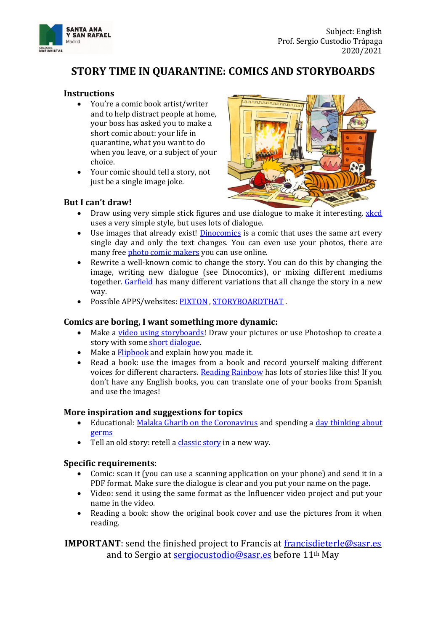

## **STORY TIME IN QUARANTINE: COMICS AND STORYBOARDS**

#### **Instructions**

- You're a comic book artist/writer and to help distract people at home, your boss has asked you to make a short comic about: your life in quarantine, what you want to do when you leave, or a subject of your choice.
- Your comic should tell a story, not just be a single image joke.

# **But I can't draw!**



- Draw using very simple stick figures and use dialogue to make it interesting. **xkcd** uses a very simple style, but uses lots of dialogue.
- Use images that already exist! **Dinocomics** is a comic that uses the same art every single day and only the text changes. You can even use your photos, there are many fre[e photo comic makers](https://www.fotojet.com/features/misc/photo-comic.html) you can use online.
- Rewrite a well-known comic to change the story. You can do this by changing the image, writing new dialogue (see Dinocomics), or mixing different mediums together. [Garfield](https://www.theawl.com/2016/07/the-weird-wonderful-world-of-subversive-garfield-spinoffs/) has many different variations that all change the story in a new way.
- Possible APPS/websites[: PIXTON](https://www.pixton.com/) , [STORYBOARDTHAT](https://www.storyboardthat.com/) .

#### **Comics are boring, I want something more dynamic:**

- Make a <u>video using storyboards</u>! Draw your pictures or use Photoshop to create a story with some [short dialogue.](https://www.youtube.com/watch?v=jjyolrKyACk)
- Make [a Flipbook](https://www.youtube.com/watch?v=Un-BdBSOGKY) and explain how you made it.
- Read a book: use the images from a book and record yourself making different voices for different characters. [Reading Rainbow](https://youtu.be/x_cqbNK0d-M?t=432) has lots of stories like this! If you don't have any English books, you can translate one of your books from Spanish and use the images!

#### **More inspiration and suggestions for topics**

- Educational: [Malaka Gharib on the Coronavirus](https://www.npr.org/sections/goatsandsoda/2020/02/28/809580453/just-for-kids-a-comic-exploring-the-new-coronavirus) and spending a [day thinking about](https://www.npr.org/sections/goatsandsoda/2020/03/12/814414450/comic-i-spent-a-day-in-coronavirus-awareness-mode-epidemiologists-how-did-i-do)  [germs](https://www.npr.org/sections/goatsandsoda/2020/03/12/814414450/comic-i-spent-a-day-in-coronavirus-awareness-mode-epidemiologists-how-did-i-do)
- Tell an old story: retell [a classic story](https://www.phillipmarsden.com/Aesop-s-Fables) in a new way.

#### **Specific requirements**:

- Comic: scan it (you can use a scanning application on your phone) and send it in a PDF format. Make sure the dialogue is clear and you put your name on the page.
- Video: send it using the same format as the Influencer video project and put your name in the video.
- Reading a book: show the original book cover and use the pictures from it when reading.

**IMPORTANT**: send the finished project to Francis at [francisdieterle@sasr.es](mailto:francisdieterle@sasr.es) and to Sergio at [sergiocustodio@sasr.es](mailto:sergiocustodio@sasr.es) before 11<sup>th</sup> May